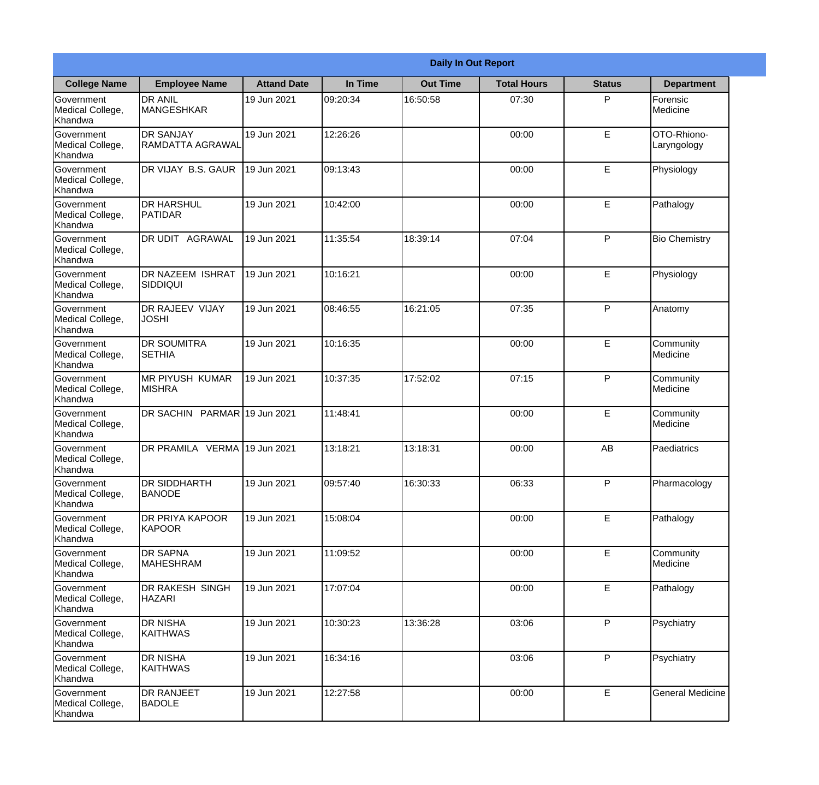|                                                  | <b>Daily In Out Report</b>                  |                    |          |                 |                    |               |                            |  |
|--------------------------------------------------|---------------------------------------------|--------------------|----------|-----------------|--------------------|---------------|----------------------------|--|
| <b>College Name</b>                              | <b>Employee Name</b>                        | <b>Attand Date</b> | In Time  | <b>Out Time</b> | <b>Total Hours</b> | <b>Status</b> | <b>Department</b>          |  |
| Government<br>Medical College,<br>Khandwa        | <b>DR ANIL</b><br><b>MANGESHKAR</b>         | 19 Jun 2021        | 09:20:34 | 16:50:58        | 07:30              | P             | Forensic<br>Medicine       |  |
| Government<br>Medical College,<br>Khandwa        | <b>DR SANJAY</b><br><b>RAMDATTA AGRAWAL</b> | 19 Jun 2021        | 12:26:26 |                 | 00:00              | E             | OTO-Rhiono-<br>Laryngology |  |
| <b>Government</b><br>Medical College,<br>Khandwa | DR VIJAY B.S. GAUR                          | 19 Jun 2021        | 09:13:43 |                 | 00:00              | E             | Physiology                 |  |
| Government<br>Medical College,<br>Khandwa        | <b>DR HARSHUL</b><br>PATIDAR                | 19 Jun 2021        | 10:42:00 |                 | 00:00              | E             | Pathalogy                  |  |
| Government<br>Medical College,<br>Khandwa        | DR UDIT AGRAWAL                             | 19 Jun 2021        | 11:35:54 | 18:39:14        | 07:04              | P             | <b>Bio Chemistry</b>       |  |
| Government<br>Medical College,<br>Khandwa        | DR NAZEEM ISHRAT<br><b>SIDDIQUI</b>         | 19 Jun 2021        | 10:16:21 |                 | 00:00              | E             | Physiology                 |  |
| Government<br>Medical College,<br>Khandwa        | DR RAJEEV VIJAY<br><b>JOSHI</b>             | 19 Jun 2021        | 08:46:55 | 16:21:05        | 07:35              | P             | Anatomy                    |  |
| Government<br>Medical College,<br>Khandwa        | <b>DR SOUMITRA</b><br><b>SETHIA</b>         | 19 Jun 2021        | 10:16:35 |                 | 00:00              | E             | Community<br>Medicine      |  |
| Government<br>Medical College,<br>Khandwa        | <b>MR PIYUSH KUMAR</b><br><b>MISHRA</b>     | 19 Jun 2021        | 10:37:35 | 17:52:02        | 07:15              | P             | Community<br>Medicine      |  |
| Government<br>Medical College,<br>Khandwa        | DR SACHIN PARMAR 19 Jun 2021                |                    | 11:48:41 |                 | 00:00              | E             | Community<br>Medicine      |  |
| Government<br>Medical College,<br>Khandwa        | DR PRAMILA VERMA                            | 19 Jun 2021        | 13:18:21 | 13:18:31        | 00:00              | AB            | Paediatrics                |  |
| Government<br>Medical College,<br>Khandwa        | <b>DR SIDDHARTH</b><br><b>BANODE</b>        | 19 Jun 2021        | 09:57:40 | 16:30:33        | 06:33              | P             | Pharmacology               |  |
| Government<br>Medical College,<br>Khandwa        | DR PRIYA KAPOOR<br>KAPOOR                   | 19 Jun 2021        | 15:08:04 |                 | 00:00              | E             | Pathalogy                  |  |
| Government<br>Medical College,<br>Khandwa        | <b>DR SAPNA</b><br><b>MAHESHRAM</b>         | 19 Jun 2021        | 11:09:52 |                 | 00:00              | E             | Community<br>Medicine      |  |
| Government<br>Medical College,<br>Khandwa        | DR RAKESH SINGH<br><b>HAZARI</b>            | 19 Jun 2021        | 17:07:04 |                 | 00:00              | E             | Pathalogy                  |  |
| Government<br>Medical College,<br>Khandwa        | <b>DR NISHA</b><br><b>KAITHWAS</b>          | 19 Jun 2021        | 10:30:23 | 13:36:28        | 03:06              | P             | Psychiatry                 |  |
| Government<br>Medical College,<br>Khandwa        | <b>DR NISHA</b><br>KAITHWAS                 | 19 Jun 2021        | 16:34:16 |                 | 03:06              | P             | Psychiatry                 |  |
| Government<br>Medical College,<br>Khandwa        | <b>DR RANJEET</b><br><b>BADOLE</b>          | 19 Jun 2021        | 12:27:58 |                 | 00:00              | E             | <b>General Medicine</b>    |  |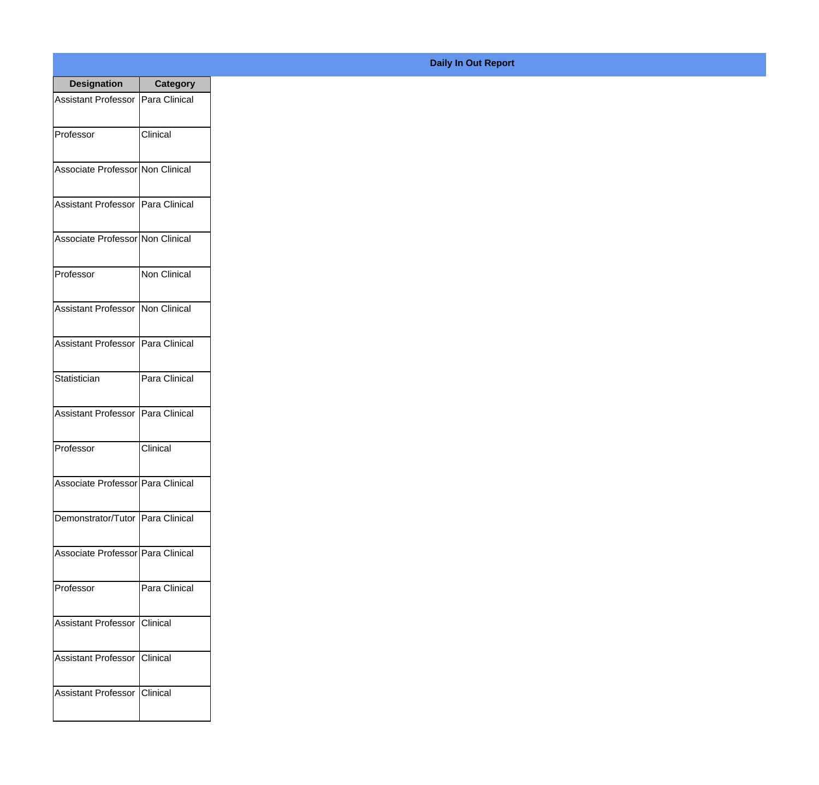| <b>Designation</b>                  | <b>Category</b>     |
|-------------------------------------|---------------------|
| Assistant Professor   Para Clinical |                     |
| Professor                           | Clinical            |
| Associate Professor Non Clinical    |                     |
| Assistant Professor   Para Clinical |                     |
| Associate Professor Non Clinical    |                     |
| Professor                           | <b>Non Clinical</b> |
| Assistant Professor   Non Clinical  |                     |
| Assistant Professor   Para Clinical |                     |
| Statistician                        | Para Clinical       |
| <b>Assistant Professor</b>          | Para Clinical       |
| Professor                           | Clinical            |
| Associate Professor   Para Clinical |                     |
| Demonstrator/Tutor   Para Clinical  |                     |
| Associate Professor   Para Clinical |                     |
| Professor                           | Para Clinical       |
| <b>Assistant Professor</b>          | <b>Clinical</b>     |
| <b>Assistant Professor</b>          | Clinical            |
| Assistant Professor   Clinical      |                     |

## **Daily In Out Report**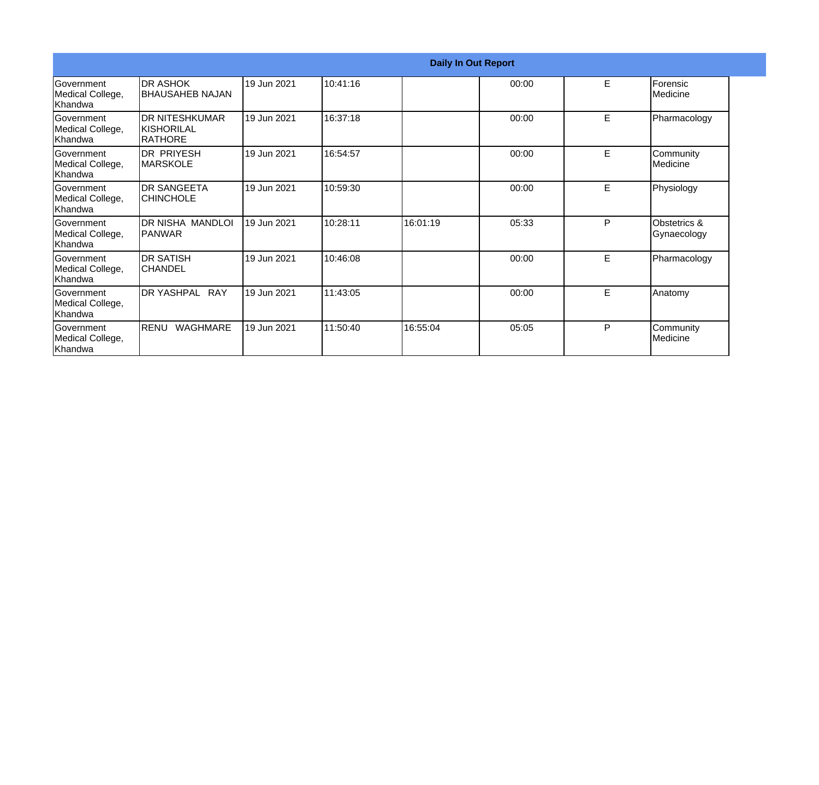| <b>Daily In Out Report</b>                        |                                                              |             |          |          |       |    |                             |
|---------------------------------------------------|--------------------------------------------------------------|-------------|----------|----------|-------|----|-----------------------------|
| <b>Government</b><br>Medical College,<br>Khandwa  | <b>DR ASHOK</b><br><b>BHAUSAHEB NAJAN</b>                    | 19 Jun 2021 | 10:41:16 |          | 00:00 | E  | Forensic<br>Medicine        |
| Government<br>Medical College,<br>Khandwa         | <b>DR NITESHKUMAR</b><br><b>KISHORILAL</b><br><b>RATHORE</b> | 19 Jun 2021 | 16:37:18 |          | 00:00 | E  | Pharmacology                |
| Government<br>Medical College,<br>Khandwa         | <b>DR PRIYESH</b><br><b>IMARSKOLE</b>                        | 19 Jun 2021 | 16:54:57 |          | 00:00 | E  | Community<br>Medicine       |
| <b>Government</b><br>Medical College,<br>lKhandwa | <b>DR SANGEETA</b><br><b>CHINCHOLE</b>                       | 19 Jun 2021 | 10:59:30 |          | 00:00 | E  | Physiology                  |
| Government<br>Medical College,<br>Khandwa         | DR NISHA MANDLOI<br><b>IPANWAR</b>                           | 19 Jun 2021 | 10:28:11 | 16:01:19 | 05:33 | P  | Obstetrics &<br>Gynaecology |
| Government<br>Medical College,<br>Khandwa         | <b>DR SATISH</b><br><b>CHANDEL</b>                           | 19 Jun 2021 | 10:46:08 |          | 00:00 | E. | Pharmacology                |
| Government<br>Medical College,<br>Khandwa         | DR YASHPAL RAY                                               | 19 Jun 2021 | 11:43:05 |          | 00:00 | E  | Anatomy                     |
| Government<br>Medical College,<br>Khandwa         | <b>RENU</b><br><b>WAGHMARE</b>                               | 19 Jun 2021 | 11:50:40 | 16:55:04 | 05:05 | P  | Community<br>Medicine       |